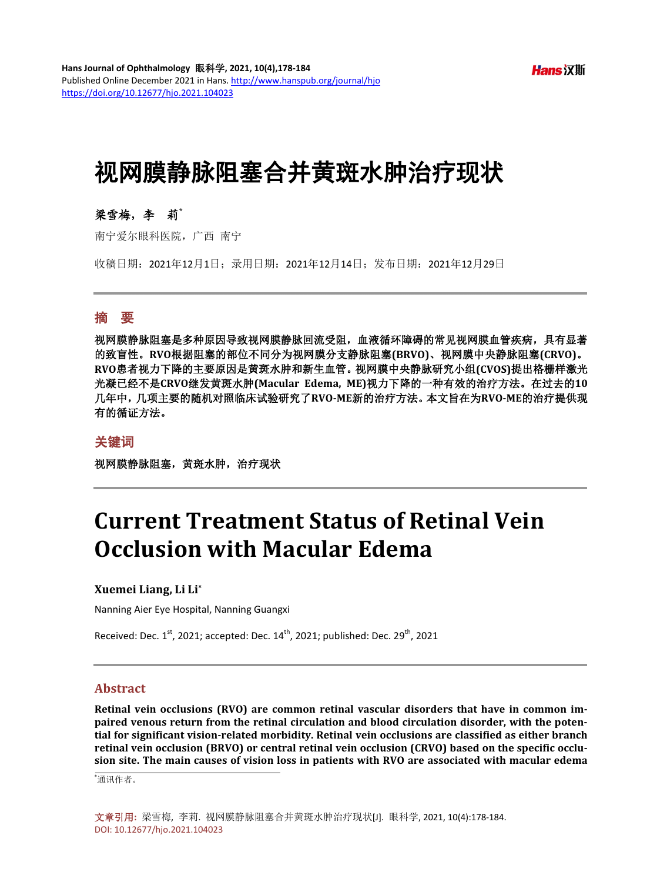**Hans** 汉斯

# 视网膜静脉阻塞合并黄斑水肿治疗现状

# 梁雪梅,李莉**\***

南宁爱尔眼科医院,广西 南宁

收稿日期:2021年12月1日;录用日期:2021年12月14日;发布日期:2021年12月29日

### 摘 要

视网膜静脉阻塞是多种原因导致视网膜静脉回流受阻,血液循环障碍的常见视网膜血管疾病,具有显著 的致盲性。**RVO**根据阻塞的部位不同分为视网膜分支静脉阻塞**(BRVO)**、视网膜中央静脉阻塞**(CRVO)**。 **RVO**患者视力下降的主要原因是黄斑水肿和新生血管。视网膜中央静脉研究小组**(CVOS)**提出格栅样激光 光凝已经不是**CRVO**继发黄斑水肿**(Macular Edema, ME)**视力下降的一种有效的治疗方法。在过去的**10** 几年中,几项主要的随机对照临床试验研究了**RVO-ME**新的治疗方法。本文旨在为**RVO-ME**的治疗提供现 有的循证方法。

#### 关键词

视网膜静脉阻塞,黄斑水肿,治疗现状

# **Current Treatment Status of Retinal Vein Occlusion with Macular Edema**

#### **Xuemei Liang, Li Li\***

Nanning Aier Eye Hospital, Nanning Guangxi

Received: Dec.  $1^{st}$ , 2021; accepted: Dec.  $14^{th}$ , 2021; published: Dec. 29<sup>th</sup>, 2021

#### **Abstract**

**Retinal vein occlusions (RVO) are common retinal vascular disorders that have in common impaired venous return from the retinal circulation and blood circulation disorder, with the potential for significant vision-related morbidity. Retinal vein occlusions are classified as either branch retinal vein occlusion (BRVO) or central retinal vein occlusion (CRVO) based on the specific occlusion site. The main causes of vision loss in patients with RVO are associated with macular edema** 

\* 通讯作者。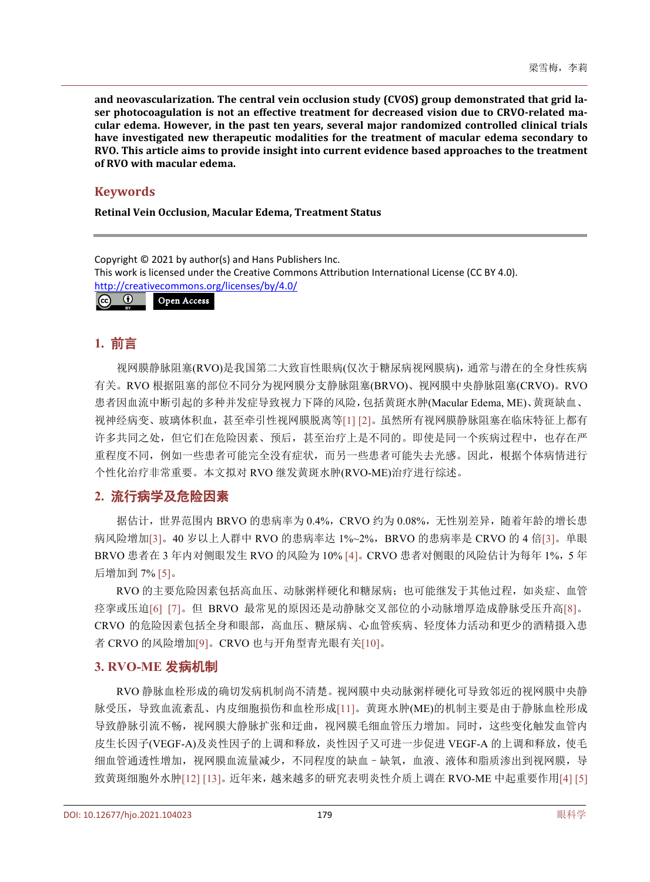**and neovascularization. The central vein occlusion study (CVOS) group demonstrated that grid laser photocoagulation is not an effective treatment for decreased vision due to CRVO-related macular edema. However, in the past ten years, several major randomized controlled clinical trials have investigated new therapeutic modalities for the treatment of macular edema secondary to RVO. This article aims to provide insight into current evidence based approaches to the treatment of RVO with macular edema.**

## **Keywords**

**Retinal Vein Occlusion, Macular Edema, Treatment Status**

Copyright © 2021 by author(s) and Hans Publishers Inc. This work is licensed under the Creative Commons Attribution International License (CC BY 4.0). <http://creativecommons.org/licenses/by/4.0/> Open Access $\boxed{6}$   $\boxed{0}$ 

# **1.** 前言

视网膜静脉阻塞(RVO)是我国第二大致盲性眼病(仅次于糖尿病视网膜病),通常与潜在的全身性疾病 有关。RVO 根据阻塞的部位不同分为视网膜分支静脉阻塞(BRVO)、视网膜中央静脉阻塞(CRVO)。RVO 患者因血流中断引起的多种并发症导致视力下降的风险,包括黄斑水肿(Macular Edema, ME)、黄斑缺血、 视神经病变、玻璃体积血,甚至牵引性视网膜脱离等[\[1\]](#page-4-0) [\[2\]](#page-4-1)。虽然所有视网膜静脉阻塞在临床特征上都有 许多共同之处,但它们在危险因素、预后,其至治疗上是不同的。即使是同一个疾病过程中,也存在严 重程度不同,例如一些患者可能完全没有症状,而另一些患者可能失去光感。因此,根据个体病情进行 个性化治疗非常重要。本文拟对 RVO 继发黄斑水肿(RVO-ME)治疗进行综述。

# **2.** 流行病学及危险因素

据估计,世界范围内 BRVO 的患病率为 0.4%, CRVO 约为 0.08%, 无性别差异,随着年龄的增长患 病风险增加[\[3\]](#page-4-2)。40 岁以上人群中 RVO 的患病率达 1%~2%, BRVO 的患病率是 CRVO 的 4 倍[3]。单眼 BRVO 患者在 3 年内对侧眼发生 RVO 的风险为 10% [\[4\]](#page-4-3)。CRVO 患者对侧眼的风险估计为每年 1%, 5 年 后增加到 7% [\[5\]](#page-4-4)。

RVO 的主要危险因素包括高血压、动脉粥样硬化和糖尿病;也可能继发于其他过程,如炎症、血管 痉挛或压迫[\[6\]](#page-4-5) [\[7\]](#page-4-6)。但 BRVO 最常见的原因还是动静脉交叉部位的小动脉增厚造成静脉受压升高[\[8\]](#page-4-7)。 CRVO 的危险因素包括全身和眼部,高血压、糖尿病、心血管疾病、轻度体力活动和更少的酒精摄入患 者 CRVO 的风险增加[\[9\]](#page-4-8)。CRVO 也与开角型青光眼有关[\[10\]](#page-4-9)。

# **3. RVO-ME** 发病机制

RVO 静脉血栓形成的确切发病机制尚不清楚。视网膜中央动脉粥样硬化可导致邻近的视网膜中央静 脉受压,导致血流紊乱、内皮细胞损伤和血栓形成[\[11\]](#page-4-10)。黄斑水肿(ME)的机制主要是由于静脉血栓形成 导致静脉引流不畅,视网膜大静脉扩张和迂曲,视网膜毛细血管压力增加。同时,这些变化触发血管内 皮生长因子(VEGF-A)及炎性因子的上调和释放,炎性因子又可进一步促进 VEGF-A 的上调和释放,使毛 细血管通透性增加,视网膜血流量减少,不同程度的缺血–缺氧,血液、液体和脂质渗出到视网膜,导 致黄斑细胞外水肿[\[12\]](#page-4-11) [\[13\]](#page-4-12)。近年来,越来越多的研究表明炎性介质上调在 RVO-ME 中起重要作用[\[4\]](#page-4-3) [\[5\]](#page-4-4)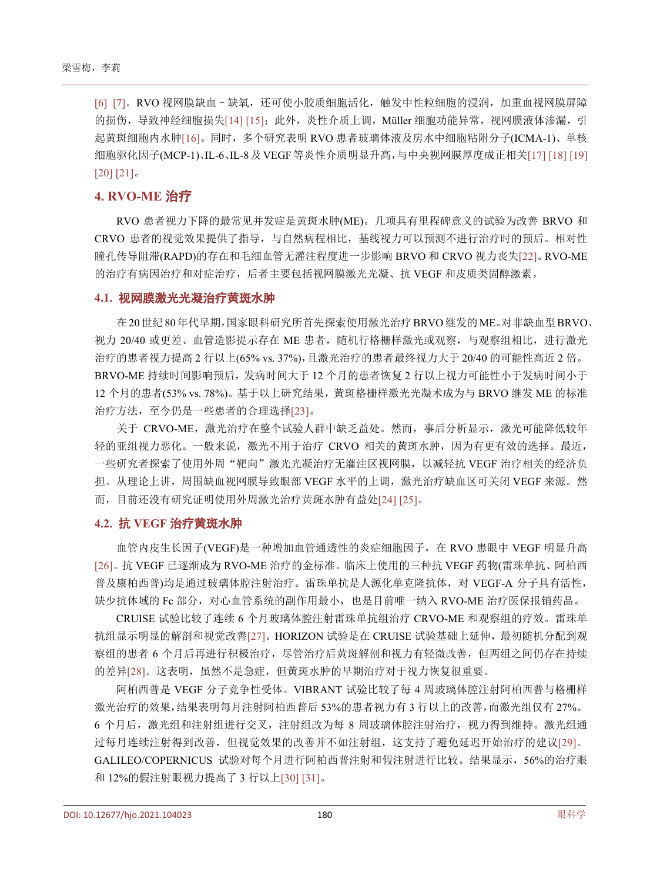[\[6\]](#page-4-5) [\[7\]](#page-4-6)。RVO 视网膜缺血–缺氧,还可使小胶质细胞活化,触发中性粒细胞的浸润,加重血视网膜屏障 的损伤,导致神经细胞损失[\[14\]](#page-4-13) [\[15\]](#page-4-14); 此外, 炎性介质上调, Müller 细胞功能异常, 视网膜液体渗漏, 引 起黄斑细胞内水肿[\[16\]](#page-4-15)。同时,多个研究表明 RVO 患者玻璃体液及房水中细胞粘附分子(ICMA-1)、单核 细胞驱化因子(MCP-1)、IL-6、IL-8及VEGF等炎性介质明显升高,与中央视网膜厚度成正相关[\[17\]](#page-4-16) [\[18\]](#page-5-0) [\[19\]](#page-5-1) [\[20\]](#page-5-2) [\[21\]](#page-5-3)。

#### **4. RVO-ME** 治疗

RVO 患者视力下降的最常见并发症是黄斑水肿(ME)。几项具有里程碑意义的试验为改善 BRVO 和 CRVO 患者的视觉效果提供了指导,与自然病程相比,基线视力可以预测不进行治疗时的预后。相对性 瞳孔传导阻滞(RAPD)的存在和毛细血管无灌注程度进一步影响 BRVO 和 CRVO 视力丧失[\[22\]](#page-5-4)。RVO-ME 的治疗有病因治疗和对症治疗,后者主要包括视网膜激光光凝、抗 VEGF 和皮质类固醇激素。

#### **4.1.** 视网膜激光光凝治疗黄斑水肿

在20世纪80年代早期,国家眼科研究所首先探索使用激光治疗BRVO继发的ME。对非缺血型BRVO、 视力 20/40 或更差、血管造影提示存在 ME 患者, 随机行格栅样激光或观察, 与观察组相比, 进行激光 治疗的患者视力提高 2 行以上(65% vs. 37%),且激光治疗的患者最终视力大于 20/40 的可能性高近 2 倍。 BRVO-ME 持续时间影响预后,发病时间大于 12 个月的患者恢复 2 行以上视力可能性小于发病时间小于 12 个月的患者(53% vs. 78%)。基于以上研究结果,黄斑格栅样激光光凝术成为与 BRVO 继发 ME 的标准 治疗方法,至今仍是一些患者的合理选择[\[23\]](#page-5-5)。

关于 CRVO-ME,激光治疗在整个试验人群中缺乏益处。然而,事后分析显示,激光可能降低较年 轻的亚组视力恶化。一般来说,激光不用于治疗 CRVO 相关的黄斑水肿,因为有更有效的选择。最近, 一些研究者探索了使用外周"靶向"激光光凝治疗无灌注区视网膜,以减轻抗 VEGF 治疗相关的经济负 担。从理论上讲,周围缺血视网膜导致眼部 VEGF 水平的上调,激光治疗缺血区可关闭 VEGF 来源。然 而,目前还没有研究证明使用外周激光治疗黄斑水肿有益处[\[24\]](#page-5-6) [\[25\]](#page-5-7)。

#### **4.2.** 抗 **VEGF** 治疗黄斑水肿

血管内皮生长因子(VEGF)是一种增加血管通透性的炎症细胞因子,在 RVO 患眼中 VEGF 明显升高 [\[26\]](#page-5-8)。抗 VEGF 已逐渐成为 RVO-ME 治疗的金标准。临床上使用的三种抗 VEGF 药物(雷珠单抗、阿柏西 普及康柏西普)均是通过玻璃体腔注射治疗。雷珠单抗是人源化单克隆抗体,对 VEGF-A 分子具有活性, 缺少抗体域的 Fc 部分, 对心血管系统的副作用最小, 也是目前唯一纳入 RVO-ME 治疗医保报销药品。

CRUISE 试验比较了连续 6 个月玻璃体腔注射雷珠单抗组治疗 CRVO-ME 和观察组的疗效。雷珠单 抗组显示明显的解剖和视觉改善[\[27\]](#page-5-9)。HORIZON 试验是在 CRUISE 试验基础上延伸,最初随机分配到观 察组的患者 6 个月后再进行积极治疗,尽管治疗后黄斑解剖和视力有轻微改善,但两组之间仍存在持续 的差异[\[28\]](#page-5-10)。这表明,虽然不是急症,但黄斑水肿的早期治疗对于视力恢复很重要。

阿柏西普是 VEGF 分子竞争性受体。VIBRANT 试验比较了每 4 周玻璃体腔注射阿柏西普与格栅样 激光治疗的效果,结果表明每月注射阿柏西普后 53%的患者视力有 3 行以上的改善,而激光组仅有 27%。 6 个月后, 激光组和注射组进行交叉, 注射组改为每 8 周玻璃体腔注射治疗, 视力得到维持。激光组通 过每月连续注射得到改善,但视觉效果的改善并不如注射组,这支持了避免延迟开始治疗的建议[\[29\]](#page-5-11)。 GALILEO/COPERNICUS 试验对每个月进行阿柏西普注射和假注射进行比较。结果显示,56%的治疗眼 和 12%的假注射眼视力提高了 3 行以上[\[30\]](#page-5-12) [\[31\]](#page-5-13)。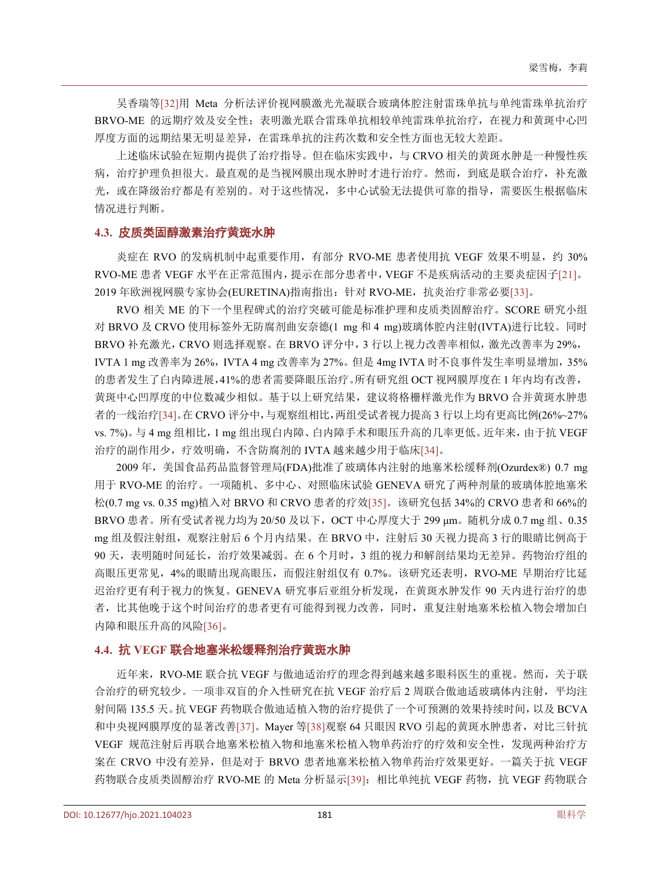吴香瑞等[\[32\]](#page-5-14)用 Meta 分析法评价视网膜激光光凝联合玻璃体腔注射雷珠单抗与单纯雷珠单抗治疗 BRVO-ME 的远期疗效及安全性;表明激光联合雷珠单抗相较单纯雷珠单抗治疗,在视力和黄斑中心凹 厚度方面的远期结果无明显差异,在雷珠单抗的注药次数和安全性方面也无较大差距。

上述临床试验在短期内提供了治疗指导。但在临床实践中,与 CRVO 相关的黄斑水肿是一种慢性疾 病,治疗护理负担很大。最直观的是当视网膜出现水肿时才进行治疗。然而,到底是联合治疗,补充激 光,或在降级治疗都是有差别的。对于这些情况,多中心试验无法提供可靠的指导,需要医生根据临床 情况进行判断。

#### **4.3.** 皮质类固醇激素治疗黄斑水肿

炎症在 RVO 的发病机制中起重要作用, 有部分 RVO-ME 患者使用抗 VEGF 效果不明显, 约 30% RVO-ME 患者 VEGF 水平在正常范围内,提示在部分患者中,VEGF 不是疾病活动的主要炎症因子[\[21\]](#page-5-3)。 2019 年欧洲视网膜专家协会(EURETINA)指南指出:针对 RVO-ME,抗炎治疗非常必要[\[33\]](#page-5-15)。

RVO 相关 ME 的下一个里程碑式的治疗突破可能是标准护理和皮质类固醇治疗。SCORE 研究小组 对 BRVO 及 CRVO 使用标签外无防腐剂曲安奈德(1 mg 和 4 mg)玻璃体腔内注射(IVTA)进行比较。同时 BRVO 补充激光,CRVO 则选择观察。在 BRVO 评分中,3 行以上视力改善率相似,激光改善率为 29%, IVTA 1 mg 改善率为 26%, IVTA 4 mg 改善率为 27%。但是 4mg IVTA 时不良事件发生率明显增加, 35% 的患者发生了白内障进展,41%的患者需要降眼压治疗。所有研究组 OCT 视网膜厚度在 1 年内均有改善, 黄斑中心凹厚度的中位数减少相似。基于以上研究结果,建议将格栅样激光作为 BRVO 合并黄斑水肿患 者的一线治疗[\[34\]](#page-5-16)。在 CRVO 评分中,与观察组相比,两组受试者视力提高 3 行以上均有更高比例(26%~27% vs. 7%)。与 4 mg 组相比,1 mg 组出现白内障、白内障手术和眼压升高的几率更低。近年来,由于抗 VEGF 治疗的副作用少,疗效明确,不含防腐剂的 IVTA 越来越少用于临床[\[34\]](#page-5-16)。

2009 年,美国食品药品监督管理局(FDA)批准了玻璃体内注射的地塞米松缓释剂(Ozurdex®) 0.7 mg 用于 RVO-ME 的治疗。一项随机、多中心、对照临床试验 GENEVA 研究了两种剂量的玻璃体腔地塞米 松(0.7 mg vs. 0.35 mg)植入对 BRVO 和 CRVO 患者的疗效[\[35\]](#page-5-17)。该研究包括 34%的 CRVO 患者和 66%的 BRVO 患者。所有受试者视力均为 20/50 及以下, OCT 中心厚度大于 299 μm。随机分成 0.7 mg 组、0.35 mg 组及假注射组,观察注射后 6 个月内结果。在 BRVO 中, 注射后 30 天视力提高 3 行的眼睛比例高于 90 天,表明随时间延长,治疗效果减弱。在 6 个月时, 3 组的视力和解剖结果均无差异。药物治疗组的 高眼压更常见,4%的眼睛出现高眼压,而假注射组仅有 0.7%。该研究还表明,RVO-ME 早期治疗比延 迟治疗更有利于视力的恢复。GENEVA 研究事后亚组分析发现,在黄斑水肿发作 90 天内进行治疗的患 者,比其他晚于这个时间治疗的患者更有可能得到视力改善,同时,重复注射地塞米松植入物会增加白 内障和眼压升高的风险[\[36\]](#page-5-18)。

### **4.4.** 抗 **VEGF** 联合地塞米松缓释剂治疗黄斑水肿

近年来,RVO-ME 联合抗 VEGF 与傲迪适治疗的理念得到越来越多眼科医生的重视。然而,关于联 合治疗的研究较少。一项非双盲的介入性研究在抗 VEGF 治疗后 2 周联合傲迪适玻璃体内注射,平均注 射间隔 135.5 天。抗 VEGF 药物联合傲迪适植入物的治疗提供了一个可预测的效果持续时间,以及 BCVA 和中央视网膜厚度的显著改善[\[37\]](#page-6-0)。Mayer 等[\[38\]](#page-6-1)观察 64 只眼因 RVO 引起的黄斑水肿患者, 对比三针抗 VEGF 规范注射后再联合地塞米松植入物和地塞米松植入物单药治疗的疗效和安全性,发现两种治疗方 案在 CRVO 中没有差异, 但是对于 BRVO 患者地塞米松植入物单药治疗效果更好。一篇关于抗 VEGF 药物联合皮质类固醇治疗 RVO-ME 的 Meta 分析显示[\[39\]](#page-6-2): 相比单纯抗 VEGF 药物, 抗 VEGF 药物联合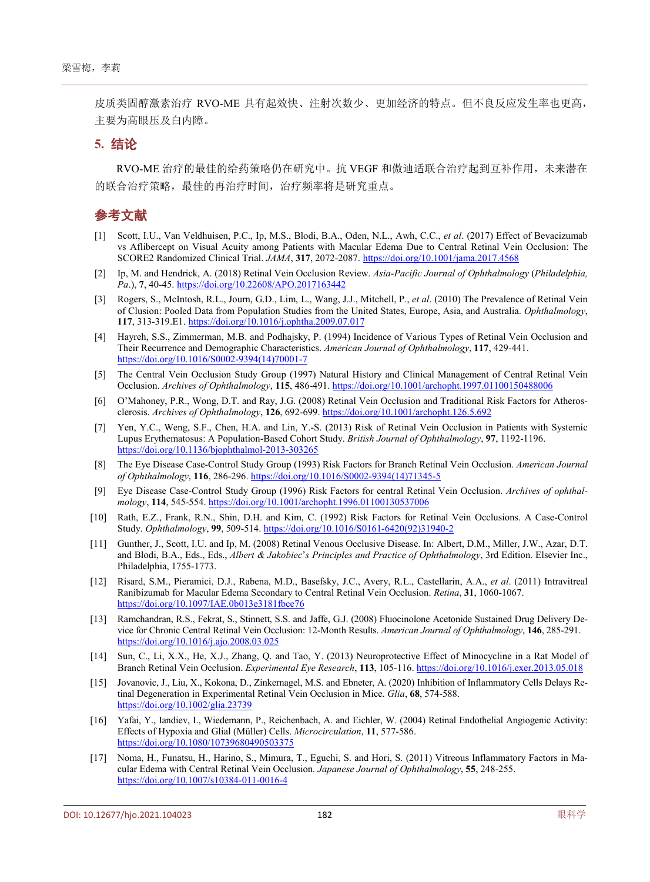皮质类固醇激素治疗 RVO-ME 具有起效快、注射次数少、更加经济的特点。但不良反应发生率也更高, 主要为高眼压及白内障。

#### **5.** 结论

RVO-ME 治疗的最佳的给药策略仍在研究中。抗 VEGF 和傲迪适联合治疗起到互补作用,未来潜在 的联合治疗策略,最佳的再治疗时间,治疗频率将是研究重点。

# 参考文献

- <span id="page-4-0"></span>[1] Scott, I.U., Van Veldhuisen, P.C., Ip, M.S., Blodi, B.A., Oden, N.L., Awh, C.C., *et al*. (2017) Effect of Bevacizumab vs Aflibercept on Visual Acuity among Patients with Macular Edema Due to Central Retinal Vein Occlusion: The SCORE2 Randomized Clinical Trial. *JAMA*, **317**, 2072-2087. <https://doi.org/10.1001/jama.2017.4568>
- <span id="page-4-1"></span>[2] Ip, M. and Hendrick, A. (2018) Retinal Vein Occlusion Review. *Asia*-*Pacific Journal of Ophthalmology* (*Philadelphia, Pa*.), **7**, 40-45. <https://doi.org/10.22608/APO.2017163442>
- <span id="page-4-2"></span>[3] Rogers, S., McIntosh, R.L., Journ, G.D., Lim, L., Wang, J.J., Mitchell, P., *et al*. (2010) The Prevalence of Retinal Vein of Clusion: Pooled Data from Population Studies from the United States, Europe, Asia, and Australia. *Ophthalmology*, **117**, 313-319.E1. <https://doi.org/10.1016/j.ophtha.2009.07.017>
- <span id="page-4-3"></span>[4] Hayreh, S.S., Zimmerman, M.B. and Podhajsky, P. (1994) Incidence of Various Types of Retinal Vein Occlusion and Their Recurrence and Demographic Characteristics. *American Journal of Ophthalmology*, **117**, 429-441. [https://doi.org/10.1016/S0002-9394\(14\)70001-7](https://doi.org/10.1016/S0002-9394(14)70001-7)
- <span id="page-4-4"></span>[5] The Central Vein Occlusion Study Group (1997) Natural History and Clinical Management of Central Retinal Vein Occlusion. *Archives of Ophthalmology*, **115**, 486-491. <https://doi.org/10.1001/archopht.1997.01100150488006>
- <span id="page-4-5"></span>[6] O'Mahoney, P.R., Wong, D.T. and Ray, J.G. (2008) Retinal Vein Occlusion and Traditional Risk Factors for Atherosclerosis. *Archives of Ophthalmology*, **126**, 692-699. <https://doi.org/10.1001/archopht.126.5.692>
- <span id="page-4-6"></span>[7] Yen, Y.C., Weng, S.F., Chen, H.A. and Lin, Y.-S. (2013) Risk of Retinal Vein Occlusion in Patients with Systemic Lupus Erythematosus: A Population-Based Cohort Study. *British Journal of Ophthalmology*, **97**, 1192-1196. <https://doi.org/10.1136/bjophthalmol-2013-303265>
- <span id="page-4-7"></span>[8] The Eye Disease Case-Control Study Group (1993) Risk Factors for Branch Retinal Vein Occlusion. *American Journal of Ophthalmology*, **116**, 286-296. [https://doi.org/10.1016/S0002-9394\(14\)71345-5](https://doi.org/10.1016/S0002-9394(14)71345-5)
- <span id="page-4-8"></span>[9] Eye Disease Case-Control Study Group (1996) Risk Factors for central Retinal Vein Occlusion. *Archives of ophthalmology*, **114**, 545-554. <https://doi.org/10.1001/archopht.1996.01100130537006>
- <span id="page-4-9"></span>[10] Rath, E.Z., Frank, R.N., Shin, D.H. and Kim, C. (1992) Risk Factors for Retinal Vein Occlusions. A Case-Control Study. *Ophthalmology*, **99**, 509-514. [https://doi.org/10.1016/S0161-6420\(92\)31940-2](https://doi.org/10.1016/S0161-6420(92)31940-2)
- <span id="page-4-10"></span>[11] Gunther, J., Scott, I.U. and Ip, M. (2008) Retinal Venous Occlusive Disease. In: Albert, D.M., Miller, J.W., Azar, D.T. and Blodi, B.A., Eds., Eds., *Albert & Jakobiec*'*s Principles and Practice of Ophthalmology*, 3rd Edition. Elsevier Inc., Philadelphia, 1755-1773.
- <span id="page-4-11"></span>[12] Risard, S.M., Pieramici, D.J., Rabena, M.D., Basefsky, J.C., Avery, R.L., Castellarin, A.A., *et al*. (2011) Intravitreal Ranibizumab for Macular Edema Secondary to Central Retinal Vein Occlusion. *Retina*, **31**, 1060-1067. <https://doi.org/10.1097/IAE.0b013e3181fbce76>
- <span id="page-4-12"></span>[13] Ramchandran, R.S., Fekrat, S., Stinnett, S.S. and Jaffe, G.J. (2008) Fluocinolone Acetonide Sustained Drug Delivery Device for Chronic Central Retinal Vein Occlusion: 12-Month Results. *American Journal of Ophthalmology*, **146**, 285-291. <https://doi.org/10.1016/j.ajo.2008.03.025>
- <span id="page-4-13"></span>[14] Sun, C., Li, X.X., He, X.J., Zhang, Q. and Tao, Y. (2013) Neuroprotective Effect of Minocycline in a Rat Model of Branch Retinal Vein Occlusion. *Experimental Eye Research*, **113**, 105-116. <https://doi.org/10.1016/j.exer.2013.05.018>
- <span id="page-4-14"></span>[15] Jovanovic, J., Liu, X., Kokona, D., Zinkernagel, M.S. and Ebneter, A. (2020) Inhibition of Inflammatory Cells Delays Retinal Degeneration in Experimental Retinal Vein Occlusion in Mice. *Glia*, **68**, 574-588. <https://doi.org/10.1002/glia.23739>
- <span id="page-4-15"></span>[16] Yafai, Y., Iandiev, I., Wiedemann, P., Reichenbach, A. and Eichler, W. (2004) Retinal Endothelial Angiogenic Activity: Effects of Hypoxia and Glial (Müller) Cells. *Microcirculation*, **11**, 577-586. <https://doi.org/10.1080/10739680490503375>
- <span id="page-4-16"></span>[17] Noma, H., Funatsu, H., Harino, S., Mimura, T., Eguchi, S. and Hori, S. (2011) Vitreous Inflammatory Factors in Macular Edema with Central Retinal Vein Occlusion. *Japanese Journal of Ophthalmology*, **55**, 248-255. <https://doi.org/10.1007/s10384-011-0016-4>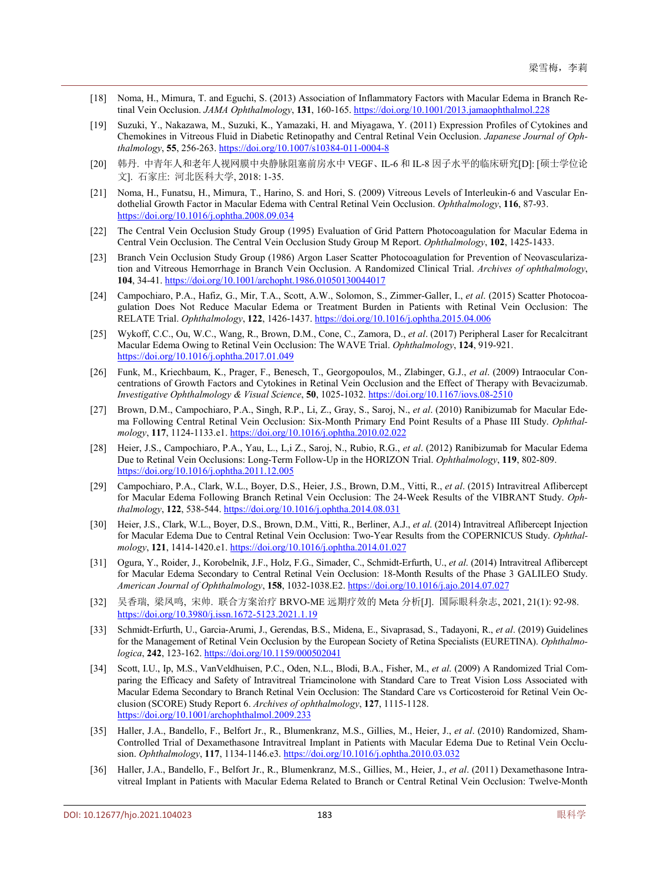- <span id="page-5-0"></span>[18] Noma, H., Mimura, T. and Eguchi, S. (2013) Association of Inflammatory Factors with Macular Edema in Branch Retinal Vein Occlusion. *JAMA Ophthalmology*, **131**, 160-165. <https://doi.org/10.1001/2013.jamaophthalmol.228>
- <span id="page-5-1"></span>[19] Suzuki, Y., Nakazawa, M., Suzuki, K., Yamazaki, H. and Miyagawa, Y. (2011) Expression Profiles of Cytokines and Chemokines in Vitreous Fluid in Diabetic Retinopathy and Central Retinal Vein Occlusion. *Japanese Journal of Ophthalmology*, **55**, 256-263. <https://doi.org/10.1007/s10384-011-0004-8>
- <span id="page-5-2"></span>[20] 韩丹. 中青年人和老年人视网膜中央静脉阻塞前房水中 VEGF、IL-6 和 IL-8 因子水平的临床研究[D]: [硕士学位论 文]. 石家庄: 河北医科大学, 2018: 1-35.
- <span id="page-5-3"></span>[21] Noma, H., Funatsu, H., Mimura, T., Harino, S. and Hori, S. (2009) Vitreous Levels of Interleukin-6 and Vascular Endothelial Growth Factor in Macular Edema with Central Retinal Vein Occlusion. *Ophthalmology*, **116**, 87-93. <https://doi.org/10.1016/j.ophtha.2008.09.034>
- <span id="page-5-4"></span>[22] The Central Vein Occlusion Study Group (1995) Evaluation of Grid Pattern Photocoagulation for Macular Edema in Central Vein Occlusion. The Central Vein Occlusion Study Group M Report. *Ophthalmology*, **102**, 1425-1433.
- <span id="page-5-5"></span>[23] Branch Vein Occlusion Study Group (1986) Argon Laser Scatter Photocoagulation for Prevention of Neovascularization and Vitreous Hemorrhage in Branch Vein Occlusion. A Randomized Clinical Trial. *Archives of ophthalmology*, **104**, 34-41. <https://doi.org/10.1001/archopht.1986.01050130044017>
- <span id="page-5-6"></span>[24] Campochiaro, P.A., Hafiz, G., Mir, T.A., Scott, A.W., Solomon, S., Zimmer-Galler, I., *et al*. (2015) Scatter Photocoagulation Does Not Reduce Macular Edema or Treatment Burden in Patients with Retinal Vein Occlusion: The RELATE Trial. *Ophthalmology*, **122**, 1426-1437. <https://doi.org/10.1016/j.ophtha.2015.04.006>
- <span id="page-5-7"></span>[25] Wykoff, C.C., Ou, W.C., Wang, R., Brown, D.M., Cone, C., Zamora, D., *et al*. (2017) Peripheral Laser for Recalcitrant Macular Edema Owing to Retinal Vein Occlusion: The WAVE Trial. *Ophthalmology*, **124**, 919-921. <https://doi.org/10.1016/j.ophtha.2017.01.049>
- <span id="page-5-8"></span>[26] Funk, M., Kriechbaum, K., Prager, F., Benesch, T., Georgopoulos, M., Zlabinger, G.J., *et al*. (2009) Intraocular Concentrations of Growth Factors and Cytokines in Retinal Vein Occlusion and the Effect of Therapy with Bevacizumab. *Investigative Ophthalmology & Visual Science*, **50**, 1025-1032. <https://doi.org/10.1167/iovs.08-2510>
- <span id="page-5-9"></span>[27] Brown, D.M., Campochiaro, P.A., Singh, R.P., Li, Z., Gray, S., Saroj, N., *et al*. (2010) Ranibizumab for Macular Edema Following Central Retinal Vein Occlusion: Six-Month Primary End Point Results of a Phase III Study. *Ophthalmology*, **117**, 1124-1133.e1. <https://doi.org/10.1016/j.ophtha.2010.02.022>
- <span id="page-5-10"></span>[28] Heier, J.S., Campochiaro, P.A., Yau, L., L,i Z., Saroj, N., Rubio, R.G., *et al*. (2012) Ranibizumab for Macular Edema Due to Retinal Vein Occlusions: Long-Term Follow-Up in the HORIZON Trial. *Ophthalmology*, **119**, 802-809. <https://doi.org/10.1016/j.ophtha.2011.12.005>
- <span id="page-5-11"></span>[29] Campochiaro, P.A., Clark, W.L., Boyer, D.S., Heier, J.S., Brown, D.M., Vitti, R., *et al*. (2015) Intravitreal Aflibercept for Macular Edema Following Branch Retinal Vein Occlusion: The 24-Week Results of the VIBRANT Study. *Ophthalmology*, **122**, 538-544. <https://doi.org/10.1016/j.ophtha.2014.08.031>
- <span id="page-5-12"></span>[30] Heier, J.S., Clark, W.L., Boyer, D.S., Brown, D.M., Vitti, R., Berliner, A.J., *et al*. (2014) Intravitreal Aflibercept Injection for Macular Edema Due to Central Retinal Vein Occlusion: Two-Year Results from the COPERNICUS Study. *Ophthalmology*, **121**, 1414-1420.e1. <https://doi.org/10.1016/j.ophtha.2014.01.027>
- <span id="page-5-13"></span>[31] Ogura, Y., Roider, J., Korobelnik, J.F., Holz, F.G., Simader, C., Schmidt-Erfurth, U., *et al*. (2014) Intravitreal Aflibercept for Macular Edema Secondary to Central Retinal Vein Occlusion: 18-Month Results of the Phase 3 GALILEO Study. *American Journal of Ophthalmology*, **158**, 1032-1038.E2. <https://doi.org/10.1016/j.ajo.2014.07.027>
- <span id="page-5-14"></span>[32] 吴香瑞, 梁凤鸣, 宋帅. 联合方案治疗 BRVO-ME 远期疗效的 Meta 分析[J]. 国际眼科杂志, 2021, 21(1): 92-98. <https://doi.org/10.3980/j.issn.1672-5123.2021.1.19>
- <span id="page-5-15"></span>[33] Schmidt-Erfurth, U., Garcia-Arumi, J., Gerendas, B.S., Midena, E., Sivaprasad, S., Tadayoni, R., *et al*. (2019) Guidelines for the Management of Retinal Vein Occlusion by the European Society of Retina Specialists (EURETINA). *Ophthalmologica*, **242**, 123-162. <https://doi.org/10.1159/000502041>
- <span id="page-5-16"></span>[34] Scott, I.U., Ip, M.S., VanVeldhuisen, P.C., Oden, N.L., Blodi, B.A., Fisher, M., *et al*. (2009) A Randomized Trial Comparing the Efficacy and Safety of Intravitreal Triamcinolone with Standard Care to Treat Vision Loss Associated with Macular Edema Secondary to Branch Retinal Vein Occlusion: The Standard Care vs Corticosteroid for Retinal Vein Occlusion (SCORE) Study Report 6. *Archives of ophthalmology*, **127**, 1115-1128. <https://doi.org/10.1001/archophthalmol.2009.233>
- <span id="page-5-17"></span>[35] Haller, J.A., Bandello, F., Belfort Jr., R., Blumenkranz, M.S., Gillies, M., Heier, J., *et al*. (2010) Randomized, Sham-Controlled Trial of Dexamethasone Intravitreal Implant in Patients with Macular Edema Due to Retinal Vein Occlusion. *Ophthalmology*, **117**, 1134-1146.e3. <https://doi.org/10.1016/j.ophtha.2010.03.032>
- <span id="page-5-18"></span>[36] Haller, J.A., Bandello, F., Belfort Jr., R., Blumenkranz, M.S., Gillies, M., Heier, J., *et al*. (2011) Dexamethasone Intravitreal Implant in Patients with Macular Edema Related to Branch or Central Retinal Vein Occlusion: Twelve-Month